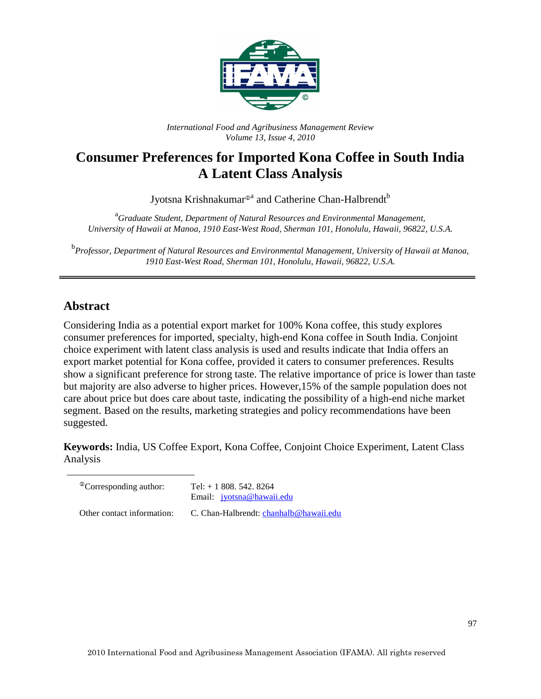

*International Food and Agribusiness Management Review Volume 13, Issue 4, 2010*

# **Consumer Preferences for Imported Kona Coffee in South India A Latent Class Analysis**

Jyotsna Krishnakumar®<sup>a</sup> and Catherine Chan-Halbrendt<sup>b</sup>

<sup>a</sup> Graduate Student, Department of Natural Resources and Environmental Management, *University of Hawaii at Manoa, 1910 East-West Road, Sherman 101, Honolulu, Hawaii, 96822, U.S.A.* 

<sup>b</sup><br>Professor, Department of Natural Resources and Environmental Management, University of Hawaii at Manoa, *1910 East-West Road, Sherman 101, Honolulu, Hawaii, 96822, U.S.A.* 

### **Abstract**

Considering India as a potential export market for 100% Kona coffee, this study explores consumer preferences for imported, specialty, high-end Kona coffee in South India. Conjoint choice experiment with latent class analysis is used and results indicate that India offers an export market potential for Kona coffee, provided it caters to consumer preferences. Results show a significant preference for strong taste. The relative importance of price is lower than taste but majority are also adverse to higher prices. However,15% of the sample population does not care about price but does care about taste, indicating the possibility of a high-end niche market segment. Based on the results, marketing strategies and policy recommendations have been suggested.

**Keywords:** India, US Coffee Export, Kona Coffee, Conjoint Choice Experiment, Latent Class Analysis

| <sup>®</sup> Corresponding author: | Tel: $+ 1808.542.8264$<br>Email: <i>jyotsna@hawaii.edu</i> |
|------------------------------------|------------------------------------------------------------|
| Other contact information:         | C. Chan-Halbrendt: chanhalb@hawaii.edu                     |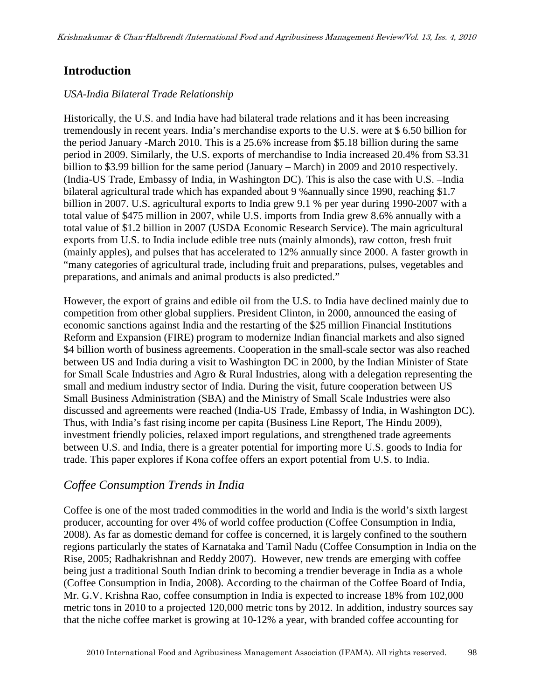### **Introduction**

#### *USA-India Bilateral Trade Relationship*

Historically, the U.S. and India have had bilateral trade relations and it has been increasing tremendously in recent years. India's merchandise exports to the U.S. were at \$ 6.50 billion for the period January -March 2010. This is a 25.6% increase from \$5.18 billion during the same period in 2009. Similarly, the U.S. exports of merchandise to India increased 20.4% from \$3.31 billion to \$3.99 billion for the same period (January – March) in 2009 and 2010 respectively. (India-US Trade, Embassy of India, in Washington DC). This is also the case with U.S. –India bilateral agricultural trade which has expanded about 9 %annually since 1990, reaching \$1.7 billion in 2007. U.S. agricultural exports to India grew 9.1 % per year during 1990-2007 with a total value of \$475 million in 2007, while U.S. imports from India grew 8.6% annually with a total value of \$1.2 billion in 2007 (USDA Economic Research Service). The main agricultural exports from U.S. to India include edible tree nuts (mainly almonds), raw cotton, fresh fruit (mainly apples), and pulses that has accelerated to 12% annually since 2000. A faster growth in "many categories of agricultural trade, including fruit and preparations, pulses, vegetables and preparations, and animals and animal products is also predicted."

However, the export of grains and edible oil from the U.S. to India have declined mainly due to competition from other global suppliers. President Clinton, in 2000, announced the easing of economic sanctions against India and the restarting of the \$25 million Financial Institutions Reform and Expansion (FIRE) program to modernize Indian financial markets and also signed \$4 billion worth of business agreements. Cooperation in the small-scale sector was also reached between US and India during a visit to Washington DC in 2000, by the Indian Minister of State for Small Scale Industries and Agro & Rural Industries, along with a delegation representing the small and medium industry sector of India. During the visit, future cooperation between US Small Business Administration (SBA) and the Ministry of Small Scale Industries were also discussed and agreements were reached (India-US Trade, Embassy of India, in Washington DC). Thus, with India's fast rising income per capita (Business Line Report, The Hindu 2009), investment friendly policies, relaxed import regulations, and strengthened trade agreements between U.S. and India, there is a greater potential for importing more U.S. goods to India for trade. This paper explores if Kona coffee offers an export potential from U.S. to India.

### *Coffee Consumption Trends in India*

Coffee is one of the most traded commodities in the world and India is the world's sixth largest producer, accounting for over 4% of world coffee production (Coffee Consumption in India, 2008). As far as domestic demand for coffee is concerned, it is largely confined to the southern regions particularly the states of Karnataka and Tamil Nadu (Coffee Consumption in India on the Rise, 2005; Radhakrishnan and Reddy 2007). However, new trends are emerging with coffee being just a traditional South Indian drink to becoming a trendier beverage in India as a whole (Coffee Consumption in India, 2008). According to the chairman of the Coffee Board of India, Mr. G.V. Krishna Rao, coffee consumption in India is expected to increase 18% from 102,000 metric tons in 2010 to a projected 120,000 metric tons by 2012. In addition, industry sources say that the niche coffee market is growing at 10-12% a year, with branded coffee accounting for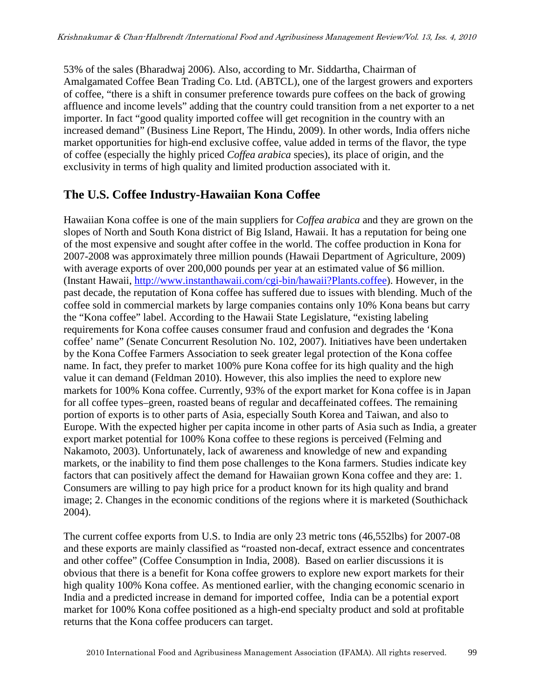53% of the sales (Bharadwaj 2006). Also, according to Mr. Siddartha, Chairman of Amalgamated Coffee Bean Trading Co. Ltd. (ABTCL), one of the largest growers and exporters of coffee, "there is a shift in consumer preference towards pure coffees on the back of growing affluence and income levels" adding that the country could transition from a net exporter to a net importer. In fact "good quality imported coffee will get recognition in the country with an increased demand" (Business Line Report, The Hindu, 2009). In other words, India offers niche market opportunities for high-end exclusive coffee, value added in terms of the flavor, the type of coffee (especially the highly priced *Coffea arabica* species), its place of origin, and the exclusivity in terms of high quality and limited production associated with it.

### **The U.S. Coffee Industry-Hawaiian Kona Coffee**

Hawaiian Kona coffee is one of the main suppliers for *Coffea arabica* and they are grown on the slopes of North and South Kona district of Big Island, Hawaii. It has a reputation for being one of the most expensive and sought after coffee in the world. The coffee production in Kona for 2007-2008 was approximately three million pounds (Hawaii Department of Agriculture, 2009) with average exports of over 200,000 pounds per year at an estimated value of \$6 million. (Instant Hawaii, http://www.instanthawaii.com/cgi-bin/hawaii?Plants.coffee). However, in the past decade, the reputation of Kona coffee has suffered due to issues with blending. Much of the coffee sold in commercial markets by large companies contains only 10% Kona beans but carry the "Kona coffee" label. According to the Hawaii State Legislature, "existing labeling requirements for Kona coffee causes consumer fraud and confusion and degrades the 'Kona coffee' name" (Senate Concurrent Resolution No. 102, 2007). Initiatives have been undertaken by the Kona Coffee Farmers Association to seek greater legal protection of the Kona coffee name. In fact, they prefer to market 100% pure Kona coffee for its high quality and the high value it can demand (Feldman 2010). However, this also implies the need to explore new markets for 100% Kona coffee. Currently, 93% of the export market for Kona coffee is in Japan for all coffee types–green, roasted beans of regular and decaffeinated coffees. The remaining portion of exports is to other parts of Asia, especially South Korea and Taiwan, and also to Europe. With the expected higher per capita income in other parts of Asia such as India, a greater export market potential for 100% Kona coffee to these regions is perceived (Felming and Nakamoto, 2003). Unfortunately, lack of awareness and knowledge of new and expanding markets, or the inability to find them pose challenges to the Kona farmers. Studies indicate key factors that can positively affect the demand for Hawaiian grown Kona coffee and they are: 1. Consumers are willing to pay high price for a product known for its high quality and brand image; 2. Changes in the economic conditions of the regions where it is marketed (Southichack 2004).

The current coffee exports from U.S. to India are only 23 metric tons (46,552lbs) for 2007-08 and these exports are mainly classified as "roasted non-decaf, extract essence and concentrates and other coffee" (Coffee Consumption in India, 2008). Based on earlier discussions it is obvious that there is a benefit for Kona coffee growers to explore new export markets for their high quality 100% Kona coffee. As mentioned earlier, with the changing economic scenario in India and a predicted increase in demand for imported coffee, India can be a potential export market for 100% Kona coffee positioned as a high-end specialty product and sold at profitable returns that the Kona coffee producers can target.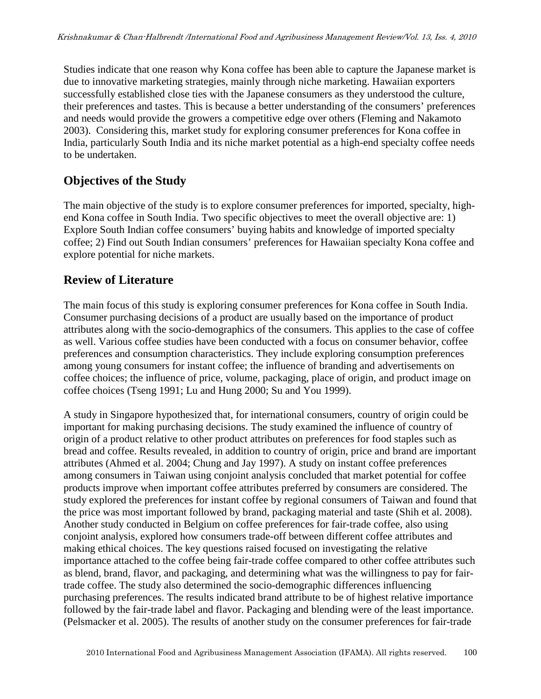Studies indicate that one reason why Kona coffee has been able to capture the Japanese market is due to innovative marketing strategies, mainly through niche marketing. Hawaiian exporters successfully established close ties with the Japanese consumers as they understood the culture, their preferences and tastes. This is because a better understanding of the consumers' preferences and needs would provide the growers a competitive edge over others (Fleming and Nakamoto 2003). Considering this, market study for exploring consumer preferences for Kona coffee in India, particularly South India and its niche market potential as a high-end specialty coffee needs to be undertaken.

# **Objectives of the Study**

The main objective of the study is to explore consumer preferences for imported, specialty, highend Kona coffee in South India. Two specific objectives to meet the overall objective are: 1) Explore South Indian coffee consumers' buying habits and knowledge of imported specialty coffee; 2) Find out South Indian consumers' preferences for Hawaiian specialty Kona coffee and explore potential for niche markets.

### **Review of Literature**

The main focus of this study is exploring consumer preferences for Kona coffee in South India. Consumer purchasing decisions of a product are usually based on the importance of product attributes along with the socio-demographics of the consumers. This applies to the case of coffee as well. Various coffee studies have been conducted with a focus on consumer behavior, coffee preferences and consumption characteristics. They include exploring consumption preferences among young consumers for instant coffee; the influence of branding and advertisements on coffee choices; the influence of price, volume, packaging, place of origin, and product image on coffee choices (Tseng 1991; Lu and Hung 2000; Su and You 1999).

A study in Singapore hypothesized that, for international consumers, country of origin could be important for making purchasing decisions. The study examined the influence of country of origin of a product relative to other product attributes on preferences for food staples such as bread and coffee. Results revealed, in addition to country of origin, price and brand are important attributes (Ahmed et al. 2004; Chung and Jay 1997). A study on instant coffee preferences among consumers in Taiwan using conjoint analysis concluded that market potential for coffee products improve when important coffee attributes preferred by consumers are considered. The study explored the preferences for instant coffee by regional consumers of Taiwan and found that the price was most important followed by brand, packaging material and taste (Shih et al. 2008). Another study conducted in Belgium on coffee preferences for fair-trade coffee, also using conjoint analysis, explored how consumers trade-off between different coffee attributes and making ethical choices. The key questions raised focused on investigating the relative importance attached to the coffee being fair-trade coffee compared to other coffee attributes such as blend, brand, flavor, and packaging, and determining what was the willingness to pay for fairtrade coffee. The study also determined the socio-demographic differences influencing purchasing preferences. The results indicated brand attribute to be of highest relative importance followed by the fair-trade label and flavor. Packaging and blending were of the least importance. (Pelsmacker et al. 2005). The results of another study on the consumer preferences for fair-trade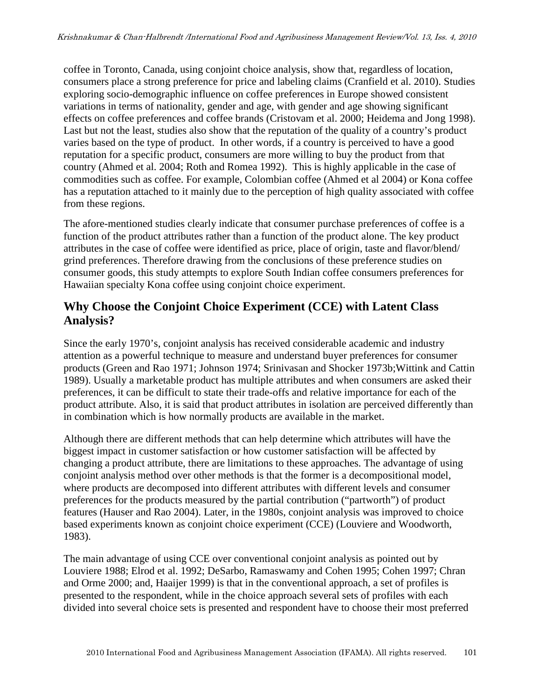coffee in Toronto, Canada, using conjoint choice analysis, show that, regardless of location, consumers place a strong preference for price and labeling claims (Cranfield et al. 2010). Studies exploring socio-demographic influence on coffee preferences in Europe showed consistent variations in terms of nationality, gender and age, with gender and age showing significant effects on coffee preferences and coffee brands (Cristovam et al. 2000; Heidema and Jong 1998). Last but not the least, studies also show that the reputation of the quality of a country's product varies based on the type of product. In other words, if a country is perceived to have a good reputation for a specific product, consumers are more willing to buy the product from that country (Ahmed et al. 2004; Roth and Romea 1992). This is highly applicable in the case of commodities such as coffee. For example, Colombian coffee (Ahmed et al 2004) or Kona coffee has a reputation attached to it mainly due to the perception of high quality associated with coffee from these regions.

The afore-mentioned studies clearly indicate that consumer purchase preferences of coffee is a function of the product attributes rather than a function of the product alone. The key product attributes in the case of coffee were identified as price, place of origin, taste and flavor/blend/ grind preferences. Therefore drawing from the conclusions of these preference studies on consumer goods, this study attempts to explore South Indian coffee consumers preferences for Hawaiian specialty Kona coffee using conjoint choice experiment.

### **Why Choose the Conjoint Choice Experiment (CCE) with Latent Class Analysis?**

Since the early 1970's, conjoint analysis has received considerable academic and industry attention as a powerful technique to measure and understand buyer preferences for consumer products (Green and Rao 1971; Johnson 1974; Srinivasan and Shocker 1973b;Wittink and Cattin 1989). Usually a marketable product has multiple attributes and when consumers are asked their preferences, it can be difficult to state their trade-offs and relative importance for each of the product attribute. Also, it is said that product attributes in isolation are perceived differently than in combination which is how normally products are available in the market.

Although there are different methods that can help determine which attributes will have the biggest impact in customer satisfaction or how customer satisfaction will be affected by changing a product attribute, there are limitations to these approaches. The advantage of using conjoint analysis method over other methods is that the former is a decompositional model, where products are decomposed into different attributes with different levels and consumer preferences for the products measured by the partial contribution ("partworth") of product features (Hauser and Rao 2004). Later, in the 1980s, conjoint analysis was improved to choice based experiments known as conjoint choice experiment (CCE) (Louviere and Woodworth, 1983).

The main advantage of using CCE over conventional conjoint analysis as pointed out by Louviere 1988; Elrod et al. 1992; DeSarbo, Ramaswamy and Cohen 1995; Cohen 1997; Chran and Orme 2000; and, Haaijer 1999) is that in the conventional approach, a set of profiles is presented to the respondent, while in the choice approach several sets of profiles with each divided into several choice sets is presented and respondent have to choose their most preferred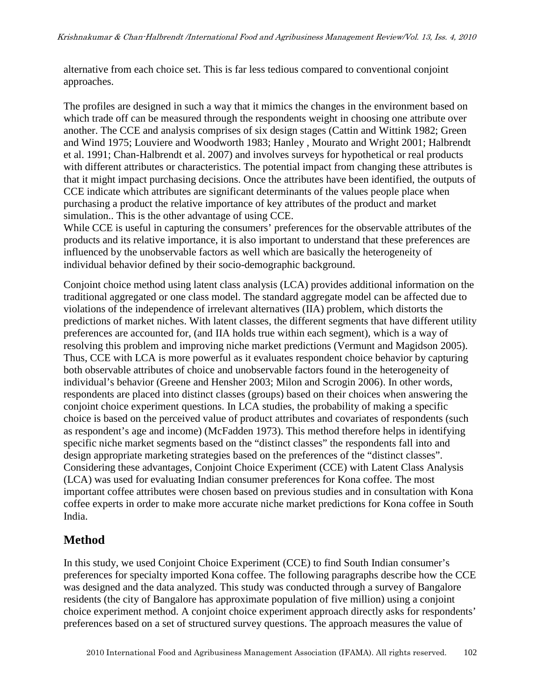alternative from each choice set. This is far less tedious compared to conventional conjoint approaches.

The profiles are designed in such a way that it mimics the changes in the environment based on which trade off can be measured through the respondents weight in choosing one attribute over another. The CCE and analysis comprises of six design stages (Cattin and Wittink 1982; Green and Wind 1975; Louviere and Woodworth 1983; Hanley , Mourato and Wright 2001; Halbrendt et al. 1991; Chan-Halbrendt et al. 2007) and involves surveys for hypothetical or real products with different attributes or characteristics. The potential impact from changing these attributes is that it might impact purchasing decisions. Once the attributes have been identified, the outputs of CCE indicate which attributes are significant determinants of the values people place when purchasing a product the relative importance of key attributes of the product and market simulation.. This is the other advantage of using CCE.

While CCE is useful in capturing the consumers' preferences for the observable attributes of the products and its relative importance, it is also important to understand that these preferences are influenced by the unobservable factors as well which are basically the heterogeneity of individual behavior defined by their socio-demographic background.

Conjoint choice method using latent class analysis (LCA) provides additional information on the traditional aggregated or one class model. The standard aggregate model can be affected due to violations of the independence of irrelevant alternatives (IIA) problem, which distorts the predictions of market niches. With latent classes, the different segments that have different utility preferences are accounted for, (and IIA holds true within each segment), which is a way of resolving this problem and improving niche market predictions (Vermunt and Magidson 2005). Thus, CCE with LCA is more powerful as it evaluates respondent choice behavior by capturing both observable attributes of choice and unobservable factors found in the heterogeneity of individual's behavior (Greene and Hensher 2003; Milon and Scrogin 2006). In other words, respondents are placed into distinct classes (groups) based on their choices when answering the conjoint choice experiment questions. In LCA studies, the probability of making a specific choice is based on the perceived value of product attributes and covariates of respondents (such as respondent's age and income) (McFadden 1973). This method therefore helps in identifying specific niche market segments based on the "distinct classes" the respondents fall into and design appropriate marketing strategies based on the preferences of the "distinct classes". Considering these advantages, Conjoint Choice Experiment (CCE) with Latent Class Analysis (LCA) was used for evaluating Indian consumer preferences for Kona coffee. The most important coffee attributes were chosen based on previous studies and in consultation with Kona coffee experts in order to make more accurate niche market predictions for Kona coffee in South India.

# **Method**

In this study, we used Conjoint Choice Experiment (CCE) to find South Indian consumer's preferences for specialty imported Kona coffee. The following paragraphs describe how the CCE was designed and the data analyzed. This study was conducted through a survey of Bangalore residents (the city of Bangalore has approximate population of five million) using a conjoint choice experiment method. A conjoint choice experiment approach directly asks for respondents' preferences based on a set of structured survey questions. The approach measures the value of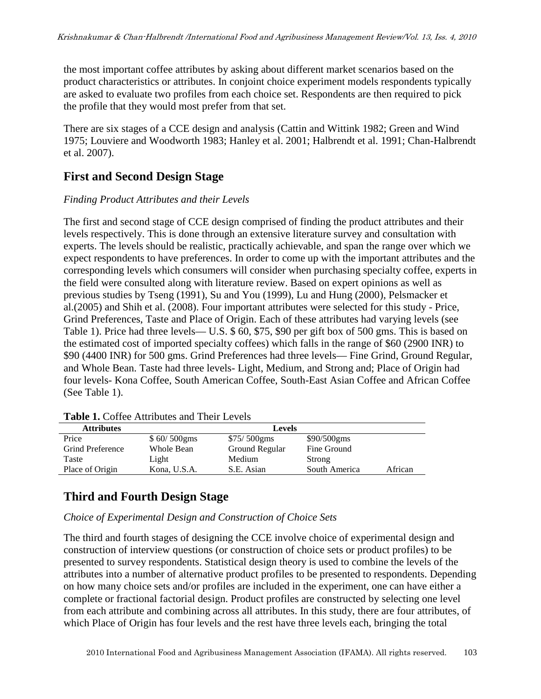the most important coffee attributes by asking about different market scenarios based on the product characteristics or attributes. In conjoint choice experiment models respondents typically are asked to evaluate two profiles from each choice set. Respondents are then required to pick the profile that they would most prefer from that set.

There are six stages of a CCE design and analysis (Cattin and Wittink 1982; Green and Wind 1975; Louviere and Woodworth 1983; Hanley et al. 2001; Halbrendt et al. 1991; Chan-Halbrendt et al. 2007).

## **First and Second Design Stage**

#### *Finding Product Attributes and their Levels*

The first and second stage of CCE design comprised of finding the product attributes and their levels respectively. This is done through an extensive literature survey and consultation with experts. The levels should be realistic, practically achievable, and span the range over which we expect respondents to have preferences. In order to come up with the important attributes and the corresponding levels which consumers will consider when purchasing specialty coffee, experts in the field were consulted along with literature review. Based on expert opinions as well as previous studies by Tseng (1991), Su and You (1999), Lu and Hung (2000), Pelsmacker et al.(2005) and Shih et al. (2008). Four important attributes were selected for this study - Price, Grind Preferences, Taste and Place of Origin. Each of these attributes had varying levels (see Table 1). Price had three levels— U.S. \$ 60, \$75, \$90 per gift box of 500 gms. This is based on the estimated cost of imported specialty coffees) which falls in the range of \$60 (2900 INR) to \$90 (4400 INR) for 500 gms. Grind Preferences had three levels— Fine Grind, Ground Regular, and Whole Bean. Taste had three levels- Light, Medium, and Strong and; Place of Origin had four levels- Kona Coffee, South American Coffee, South-East Asian Coffee and African Coffee (See Table 1).

| <b>Attributes</b> | <b>Levels</b> |                |               |         |  |  |
|-------------------|---------------|----------------|---------------|---------|--|--|
| Price             | \$60/500gms   | $$75/500$ gms  | $$90/500$ gms |         |  |  |
| Grind Preference  | Whole Bean    | Ground Regular | Fine Ground   |         |  |  |
| Taste             | Light         | Medium         | Strong        |         |  |  |
| Place of Origin   | Kona, U.S.A.  | S.E. Asian     | South America | African |  |  |

**Table 1.** Coffee Attributes and Their Levels

# **Third and Fourth Design Stage**

#### *Choice of Experimental Design and Construction of Choice Sets*

The third and fourth stages of designing the CCE involve choice of experimental design and construction of interview questions (or construction of choice sets or product profiles) to be presented to survey respondents. Statistical design theory is used to combine the levels of the attributes into a number of alternative product profiles to be presented to respondents. Depending on how many choice sets and/or profiles are included in the experiment, one can have either a complete or fractional factorial design. Product profiles are constructed by selecting one level from each attribute and combining across all attributes. In this study, there are four attributes, of which Place of Origin has four levels and the rest have three levels each, bringing the total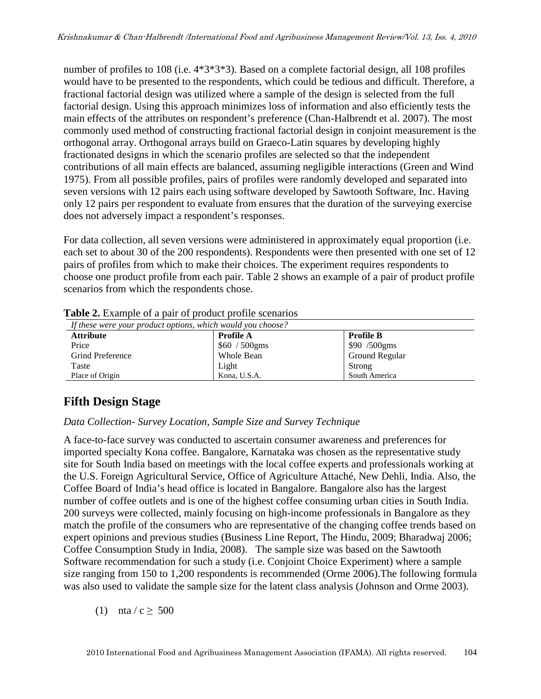number of profiles to 108 (i.e. 4\*3\*3\*3). Based on a complete factorial design, all 108 profiles would have to be presented to the respondents, which could be tedious and difficult. Therefore, a fractional factorial design was utilized where a sample of the design is selected from the full factorial design. Using this approach minimizes loss of information and also efficiently tests the main effects of the attributes on respondent's preference (Chan-Halbrendt et al. 2007). The most commonly used method of constructing fractional factorial design in conjoint measurement is the orthogonal array. Orthogonal arrays build on Graeco-Latin squares by developing highly fractionated designs in which the scenario profiles are selected so that the independent contributions of all main effects are balanced, assuming negligible interactions (Green and Wind 1975). From all possible profiles, pairs of profiles were randomly developed and separated into seven versions with 12 pairs each using software developed by Sawtooth Software, Inc. Having only 12 pairs per respondent to evaluate from ensures that the duration of the surveying exercise does not adversely impact a respondent's responses.

For data collection, all seven versions were administered in approximately equal proportion (i.e. each set to about 30 of the 200 respondents). Respondents were then presented with one set of 12 pairs of profiles from which to make their choices. The experiment requires respondents to choose one product profile from each pair. Table 2 shows an example of a pair of product profile scenarios from which the respondents chose.

| If these were your product options, which would you choose? |                  |                       |  |  |  |
|-------------------------------------------------------------|------------------|-----------------------|--|--|--|
| <b>Attribute</b>                                            | <b>Profile A</b> | <b>Profile B</b>      |  |  |  |
| Price                                                       | $$60 / 500$ gms  | $$90 / 500$ gms       |  |  |  |
| <b>Grind Preference</b>                                     | Whole Bean       | <b>Ground Regular</b> |  |  |  |
| Taste                                                       | Light            | Strong                |  |  |  |
| Place of Origin                                             | Kona, U.S.A.     | South America         |  |  |  |

**Table 2.** Example of a pair of product profile scenarios

# **Fifth Design Stage**

#### *Data Collection- Survey Location, Sample Size and Survey Technique*

A face-to-face survey was conducted to ascertain consumer awareness and preferences for imported specialty Kona coffee. Bangalore, Karnataka was chosen as the representative study site for South India based on meetings with the local coffee experts and professionals working at the U.S. Foreign Agricultural Service, Office of Agriculture Attaché, New Dehli, India. Also, the Coffee Board of India's head office is located in Bangalore. Bangalore also has the largest number of coffee outlets and is one of the highest coffee consuming urban cities in South India. 200 surveys were collected, mainly focusing on high-income professionals in Bangalore as they match the profile of the consumers who are representative of the changing coffee trends based on expert opinions and previous studies (Business Line Report, The Hindu, 2009; Bharadwaj 2006; Coffee Consumption Study in India, 2008). The sample size was based on the Sawtooth Software recommendation for such a study (i.e. Conjoint Choice Experiment) where a sample size ranging from 150 to 1,200 respondents is recommended (Orme 2006).The following formula was also used to validate the sample size for the latent class analysis (Johnson and Orme 2003).

(1)  $\pi$ ta / c  $\geq$  500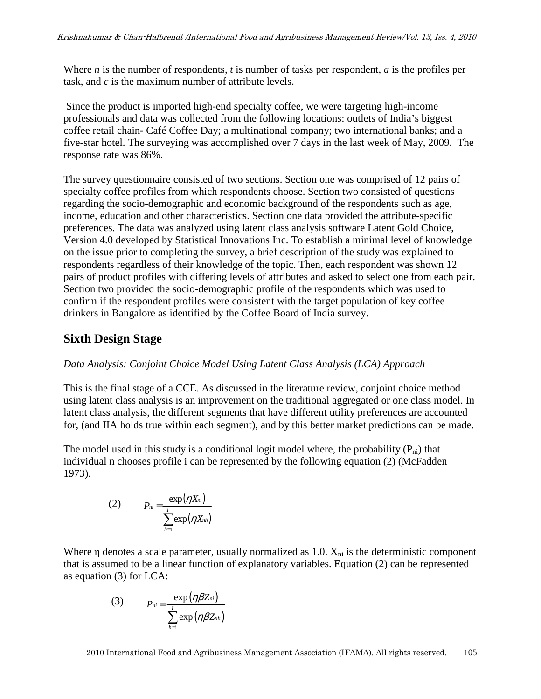Where *n* is the number of respondents, *t* is number of tasks per respondent, *a* is the profiles per task, and *c* is the maximum number of attribute levels.

 Since the product is imported high-end specialty coffee, we were targeting high-income professionals and data was collected from the following locations: outlets of India's biggest coffee retail chain- Café Coffee Day; a multinational company; two international banks; and a five-star hotel. The surveying was accomplished over 7 days in the last week of May, 2009. The response rate was 86%.

The survey questionnaire consisted of two sections. Section one was comprised of 12 pairs of specialty coffee profiles from which respondents choose. Section two consisted of questions regarding the socio-demographic and economic background of the respondents such as age, income, education and other characteristics. Section one data provided the attribute-specific preferences. The data was analyzed using latent class analysis software Latent Gold Choice, Version 4.0 developed by Statistical Innovations Inc. To establish a minimal level of knowledge on the issue prior to completing the survey, a brief description of the study was explained to respondents regardless of their knowledge of the topic. Then, each respondent was shown 12 pairs of product profiles with differing levels of attributes and asked to select one from each pair. Section two provided the socio-demographic profile of the respondents which was used to confirm if the respondent profiles were consistent with the target population of key coffee drinkers in Bangalore as identified by the Coffee Board of India survey.

## **Sixth Design Stage**

#### *Data Analysis: Conjoint Choice Model Using Latent Class Analysis (LCA) Approach*

This is the final stage of a CCE. As discussed in the literature review, conjoint choice method using latent class analysis is an improvement on the traditional aggregated or one class model. In latent class analysis, the different segments that have different utility preferences are accounted for, (and IIA holds true within each segment), and by this better market predictions can be made.

The model used in this study is a conditional logit model where, the probability  $(P_{ni})$  that individual n chooses profile i can be represented by the following equation (2) (McFadden 1973).

$$
(2) \t P_{ni} = \frac{\exp(\eta X_{ni})}{\sum_{h=1}^{I} \exp(\eta X_{nh})}
$$

Where  $\eta$  denotes a scale parameter, usually normalized as 1.0.  $X_{ni}$  is the deterministic component that is assumed to be a linear function of explanatory variables. Equation (2) can be represented as equation (3) for LCA:

(3) 
$$
P_{ni} = \frac{\exp(\eta \beta Z_{ni})}{\sum_{h=1}^{I} \exp(\eta \beta Z_{nh})}
$$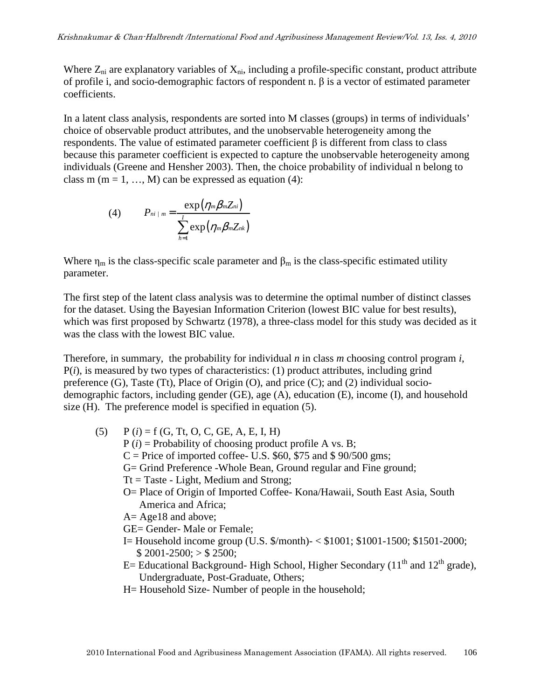Where  $Z_{ni}$  are explanatory variables of  $X_{ni}$ , including a profile-specific constant, product attribute of profile i, and socio-demographic factors of respondent n. β is a vector of estimated parameter coefficients.

In a latent class analysis, respondents are sorted into M classes (groups) in terms of individuals' choice of observable product attributes, and the unobservable heterogeneity among the respondents. The value of estimated parameter coefficient β is different from class to class because this parameter coefficient is expected to capture the unobservable heterogeneity among individuals (Greene and Hensher 2003). Then, the choice probability of individual n belong to class m (m = 1, ..., M) can be expressed as equation (4):

$$
(4) \qquad P_{ni+m} = \frac{\exp \left(\eta_m \beta_m Z_{ni}\right)}{\sum_{h=1}^{I} \exp \left(\eta_m \beta_m Z_{nk}\right)}
$$

Where  $\eta_m$  is the class-specific scale parameter and  $\beta_m$  is the class-specific estimated utility parameter.

The first step of the latent class analysis was to determine the optimal number of distinct classes for the dataset. Using the Bayesian Information Criterion (lowest BIC value for best results), which was first proposed by Schwartz (1978), a three-class model for this study was decided as it was the class with the lowest BIC value.

Therefore, in summary, the probability for individual *n* in class *m* choosing control program *i*, P(*i*), is measured by two types of characteristics: (1) product attributes, including grind preference (G), Taste (Tt), Place of Origin (O), and price (C); and (2) individual sociodemographic factors, including gender (GE), age (A), education (E), income (I), and household size (H). The preference model is specified in equation (5).

- (5)  $P(i) = f(G, Tt, O, C, GE, A, E, I, H)$ P (*i*) = Probability of choosing product profile A vs. B;  $C =$  Price of imported coffee- U.S. \$60, \$75 and \$90/500 gms; G= Grind Preference -Whole Bean, Ground regular and Fine ground;  $Tt = Taste - Light$ , Medium and Strong; O= Place of Origin of Imported Coffee- Kona/Hawaii, South East Asia, South America and Africa; A= Age18 and above; GE= Gender- Male or Female; I= Household income group (U.S. \$/month)- < \$1001; \$1001-1500; \$1501-2000;  $$ 2001-2500; > $ 2500;$ E= Educational Background- High School, Higher Secondary ( $11<sup>th</sup>$  and  $12<sup>th</sup>$  grade),
	- Undergraduate, Post-Graduate, Others;
	- H= Household Size- Number of people in the household;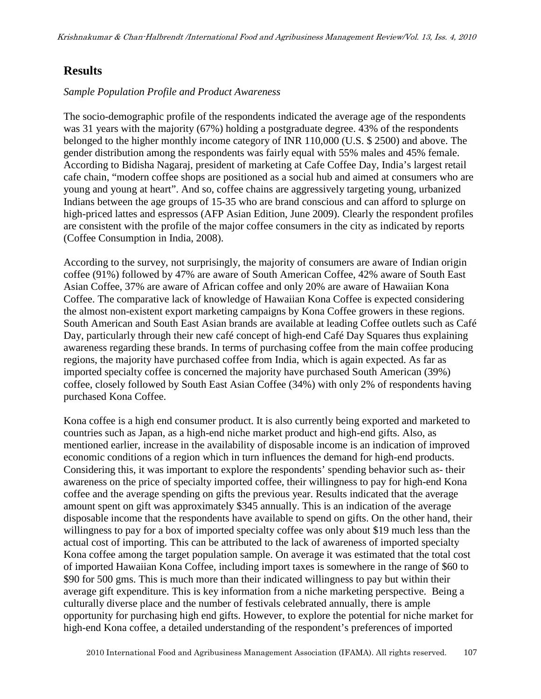### **Results**

#### *Sample Population Profile and Product Awareness*

The socio-demographic profile of the respondents indicated the average age of the respondents was 31 years with the majority (67%) holding a postgraduate degree. 43% of the respondents belonged to the higher monthly income category of INR 110,000 (U.S. \$ 2500) and above. The gender distribution among the respondents was fairly equal with 55% males and 45% female. According to Bidisha Nagaraj, president of marketing at Cafe Coffee Day, India's largest retail cafe chain, "modern coffee shops are positioned as a social hub and aimed at consumers who are young and young at heart". And so, coffee chains are aggressively targeting young, urbanized Indians between the age groups of 15-35 who are brand conscious and can afford to splurge on high-priced lattes and espressos (AFP Asian Edition, June 2009). Clearly the respondent profiles are consistent with the profile of the major coffee consumers in the city as indicated by reports (Coffee Consumption in India, 2008).

According to the survey, not surprisingly, the majority of consumers are aware of Indian origin coffee (91%) followed by 47% are aware of South American Coffee, 42% aware of South East Asian Coffee, 37% are aware of African coffee and only 20% are aware of Hawaiian Kona Coffee. The comparative lack of knowledge of Hawaiian Kona Coffee is expected considering the almost non-existent export marketing campaigns by Kona Coffee growers in these regions. South American and South East Asian brands are available at leading Coffee outlets such as Café Day, particularly through their new café concept of high-end Café Day Squares thus explaining awareness regarding these brands. In terms of purchasing coffee from the main coffee producing regions, the majority have purchased coffee from India, which is again expected. As far as imported specialty coffee is concerned the majority have purchased South American (39%) coffee, closely followed by South East Asian Coffee (34%) with only 2% of respondents having purchased Kona Coffee.

Kona coffee is a high end consumer product. It is also currently being exported and marketed to countries such as Japan, as a high-end niche market product and high-end gifts. Also, as mentioned earlier, increase in the availability of disposable income is an indication of improved economic conditions of a region which in turn influences the demand for high-end products. Considering this, it was important to explore the respondents' spending behavior such as- their awareness on the price of specialty imported coffee, their willingness to pay for high-end Kona coffee and the average spending on gifts the previous year. Results indicated that the average amount spent on gift was approximately \$345 annually. This is an indication of the average disposable income that the respondents have available to spend on gifts. On the other hand, their willingness to pay for a box of imported specialty coffee was only about \$19 much less than the actual cost of importing. This can be attributed to the lack of awareness of imported specialty Kona coffee among the target population sample. On average it was estimated that the total cost of imported Hawaiian Kona Coffee, including import taxes is somewhere in the range of \$60 to \$90 for 500 gms. This is much more than their indicated willingness to pay but within their average gift expenditure. This is key information from a niche marketing perspective. Being a culturally diverse place and the number of festivals celebrated annually, there is ample opportunity for purchasing high end gifts. However, to explore the potential for niche market for high-end Kona coffee, a detailed understanding of the respondent's preferences of imported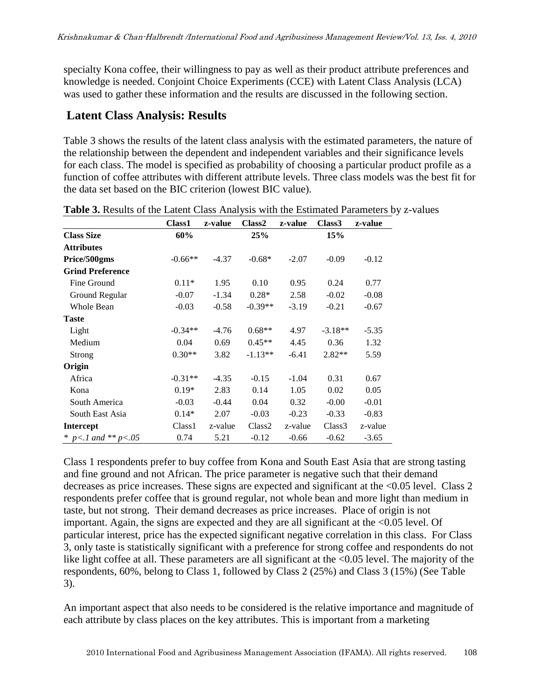specialty Kona coffee, their willingness to pay as well as their product attribute preferences and knowledge is needed. Conjoint Choice Experiments (CCE) with Latent Class Analysis (LCA) was used to gather these information and the results are discussed in the following section.

### **Latent Class Analysis: Results**

Table 3 shows the results of the latent class analysis with the estimated parameters, the nature of the relationship between the dependent and independent variables and their significance levels for each class. The model is specified as probability of choosing a particular product profile as a function of coffee attributes with different attribute levels. Three class models was the best fit for the data set based on the BIC criterion (lowest BIC value).

|                             | Class1             | z-value | Class <sub>2</sub> | z-value | Class <sub>3</sub> | z-value |
|-----------------------------|--------------------|---------|--------------------|---------|--------------------|---------|
| <b>Class Size</b>           | 60%                |         | 25%                |         | 15%                |         |
| <b>Attributes</b>           |                    |         |                    |         |                    |         |
| Price/500gms                | $-0.66**$          | $-4.37$ | $-0.68*$           | $-2.07$ | $-0.09$            | $-0.12$ |
| <b>Grind Preference</b>     |                    |         |                    |         |                    |         |
| Fine Ground                 | $0.11*$            | 1.95    | 0.10               | 0.95    | 0.24               | 0.77    |
| Ground Regular              | $-0.07$            | $-1.34$ | $0.28*$            | 2.58    | $-0.02$            | $-0.08$ |
| <b>Whole Bean</b>           | $-0.03$            | $-0.58$ | $-0.39**$          | $-3.19$ | $-0.21$            | $-0.67$ |
| <b>Taste</b>                |                    |         |                    |         |                    |         |
| Light                       | $-0.34**$          | $-4.76$ | $0.68**$           | 4.97    | $-3.18**$          | $-5.35$ |
| Medium                      | 0.04               | 0.69    | $0.45**$           | 4.45    | 0.36               | 1.32    |
| Strong                      | $0.30**$           | 3.82    | $-1.13**$          | $-6.41$ | $2.82**$           | 5.59    |
| Origin                      |                    |         |                    |         |                    |         |
| Africa                      | $-0.31**$          | $-4.35$ | $-0.15$            | $-1.04$ | 0.31               | 0.67    |
| Kona                        | $0.19*$            | 2.83    | 0.14               | 1.05    | 0.02               | 0.05    |
| South America               | $-0.03$            | $-0.44$ | 0.04               | 0.32    | $-0.00$            | $-0.01$ |
| South East Asia             | $0.14*$            | 2.07    | $-0.03$            | $-0.23$ | $-0.33$            | $-0.83$ |
| <b>Intercept</b>            | Class <sub>1</sub> | z-value | Class <sub>2</sub> | z-value | Class3             | z-value |
| * $p < 1$ and ** $p < 0.05$ | 0.74               | 5.21    | $-0.12$            | $-0.66$ | $-0.62$            | $-3.65$ |

**Table 3.** Results of the Latent Class Analysis with the Estimated Parameters by z-values

Class 1 respondents prefer to buy coffee from Kona and South East Asia that are strong tasting and fine ground and not African. The price parameter is negative such that their demand decreases as price increases. These signs are expected and significant at the <0.05 level. Class 2 respondents prefer coffee that is ground regular, not whole bean and more light than medium in taste, but not strong. Their demand decreases as price increases. Place of origin is not important. Again, the signs are expected and they are all significant at the <0.05 level. Of particular interest, price has the expected significant negative correlation in this class. For Class 3, only taste is statistically significant with a preference for strong coffee and respondents do not like light coffee at all. These parameters are all significant at the <0.05 level. The majority of the respondents, 60%, belong to Class 1, followed by Class 2 (25%) and Class 3 (15%) (See Table 3).

An important aspect that also needs to be considered is the relative importance and magnitude of each attribute by class places on the key attributes. This is important from a marketing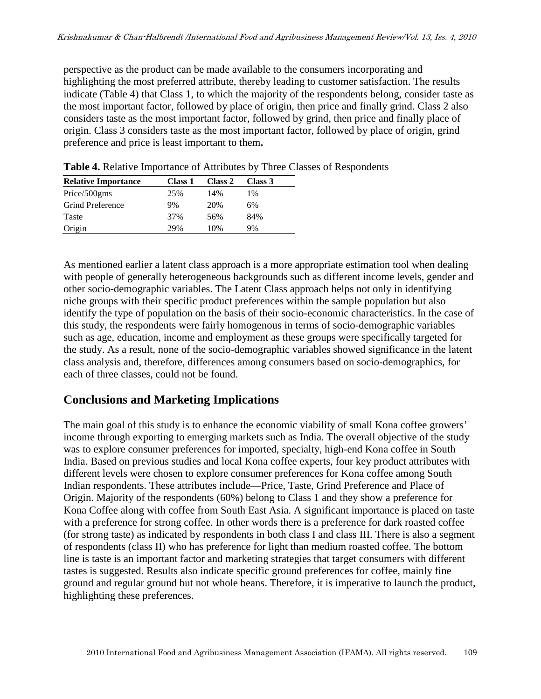perspective as the product can be made available to the consumers incorporating and highlighting the most preferred attribute, thereby leading to customer satisfaction. The results indicate (Table 4) that Class 1, to which the majority of the respondents belong, consider taste as the most important factor, followed by place of origin, then price and finally grind. Class 2 also considers taste as the most important factor, followed by grind, then price and finally place of origin. Class 3 considers taste as the most important factor, followed by place of origin, grind preference and price is least important to them**.** 

| <b>Relative Importance</b> | <b>Class 1</b> | Class 2 | Class 3 |  |
|----------------------------|----------------|---------|---------|--|
| Price/500gms               | 25%            | 14%     | 1%      |  |
| <b>Grind Preference</b>    | 9%             | 20%     | 6%      |  |
| Taste                      | 37%            | 56%     | 84%     |  |
| Origin                     | 29%            | 10%     | 9%      |  |

**Table 4.** Relative Importance of Attributes by Three Classes of Respondents

As mentioned earlier a latent class approach is a more appropriate estimation tool when dealing with people of generally heterogeneous backgrounds such as different income levels, gender and other socio-demographic variables. The Latent Class approach helps not only in identifying niche groups with their specific product preferences within the sample population but also identify the type of population on the basis of their socio-economic characteristics. In the case of this study, the respondents were fairly homogenous in terms of socio-demographic variables such as age, education, income and employment as these groups were specifically targeted for the study. As a result, none of the socio-demographic variables showed significance in the latent class analysis and, therefore, differences among consumers based on socio-demographics, for each of three classes, could not be found.

# **Conclusions and Marketing Implications**

The main goal of this study is to enhance the economic viability of small Kona coffee growers' income through exporting to emerging markets such as India. The overall objective of the study was to explore consumer preferences for imported, specialty, high-end Kona coffee in South India. Based on previous studies and local Kona coffee experts, four key product attributes with different levels were chosen to explore consumer preferences for Kona coffee among South Indian respondents. These attributes include—Price, Taste, Grind Preference and Place of Origin. Majority of the respondents (60%) belong to Class 1 and they show a preference for Kona Coffee along with coffee from South East Asia. A significant importance is placed on taste with a preference for strong coffee. In other words there is a preference for dark roasted coffee (for strong taste) as indicated by respondents in both class I and class III. There is also a segment of respondents (class II) who has preference for light than medium roasted coffee. The bottom line is taste is an important factor and marketing strategies that target consumers with different tastes is suggested. Results also indicate specific ground preferences for coffee, mainly fine ground and regular ground but not whole beans. Therefore, it is imperative to launch the product, highlighting these preferences.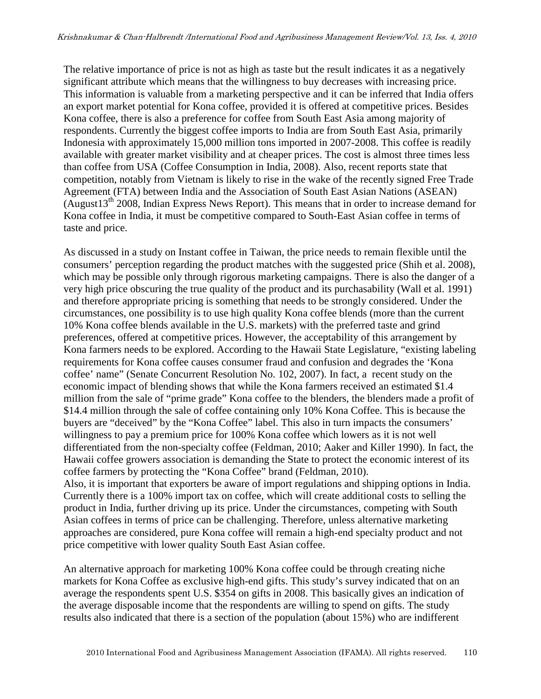The relative importance of price is not as high as taste but the result indicates it as a negatively significant attribute which means that the willingness to buy decreases with increasing price. This information is valuable from a marketing perspective and it can be inferred that India offers an export market potential for Kona coffee, provided it is offered at competitive prices. Besides Kona coffee, there is also a preference for coffee from South East Asia among majority of respondents. Currently the biggest coffee imports to India are from South East Asia, primarily Indonesia with approximately 15,000 million tons imported in 2007-2008. This coffee is readily available with greater market visibility and at cheaper prices. The cost is almost three times less than coffee from USA (Coffee Consumption in India, 2008). Also, recent reports state that competition, notably from Vietnam is likely to rise in the wake of the recently signed Free Trade Agreement (FTA) between India and the Association of South East Asian Nations (ASEAN) (August $13<sup>th</sup>$  2008, Indian Express News Report). This means that in order to increase demand for Kona coffee in India, it must be competitive compared to South-East Asian coffee in terms of taste and price.

As discussed in a study on Instant coffee in Taiwan, the price needs to remain flexible until the consumers' perception regarding the product matches with the suggested price (Shih et al. 2008), which may be possible only through rigorous marketing campaigns. There is also the danger of a very high price obscuring the true quality of the product and its purchasability (Wall et al. 1991) and therefore appropriate pricing is something that needs to be strongly considered. Under the circumstances, one possibility is to use high quality Kona coffee blends (more than the current 10% Kona coffee blends available in the U.S. markets) with the preferred taste and grind preferences, offered at competitive prices. However, the acceptability of this arrangement by Kona farmers needs to be explored. According to the Hawaii State Legislature, "existing labeling requirements for Kona coffee causes consumer fraud and confusion and degrades the 'Kona coffee' name" (Senate Concurrent Resolution No. 102, 2007). In fact, a recent study on the economic impact of blending shows that while the Kona farmers received an estimated \$1.4 million from the sale of "prime grade" Kona coffee to the blenders, the blenders made a profit of \$14.4 million through the sale of coffee containing only 10% Kona Coffee. This is because the buyers are "deceived" by the "Kona Coffee" label. This also in turn impacts the consumers' willingness to pay a premium price for 100% Kona coffee which lowers as it is not well differentiated from the non-specialty coffee (Feldman, 2010; Aaker and Killer 1990). In fact, the Hawaii coffee growers association is demanding the State to protect the economic interest of its coffee farmers by protecting the "Kona Coffee" brand (Feldman, 2010). Also, it is important that exporters be aware of import regulations and shipping options in India. Currently there is a 100% import tax on coffee, which will create additional costs to selling the product in India, further driving up its price. Under the circumstances, competing with South Asian coffees in terms of price can be challenging. Therefore, unless alternative marketing approaches are considered, pure Kona coffee will remain a high-end specialty product and not price competitive with lower quality South East Asian coffee.

An alternative approach for marketing 100% Kona coffee could be through creating niche markets for Kona Coffee as exclusive high-end gifts. This study's survey indicated that on an average the respondents spent U.S. \$354 on gifts in 2008. This basically gives an indication of the average disposable income that the respondents are willing to spend on gifts. The study results also indicated that there is a section of the population (about 15%) who are indifferent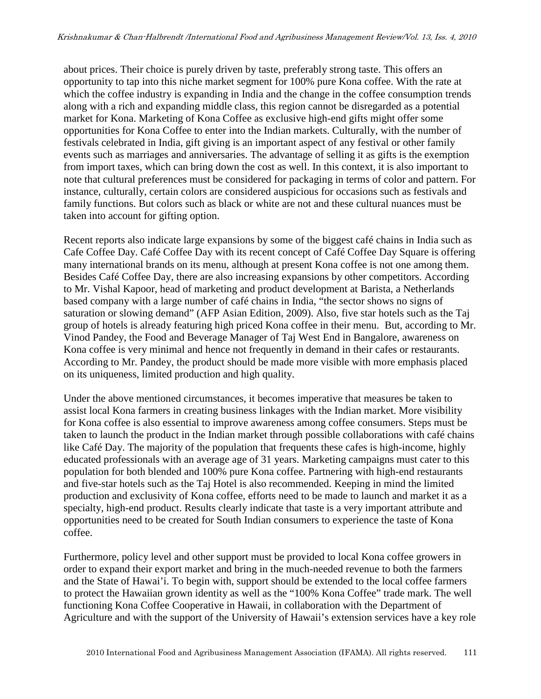about prices. Their choice is purely driven by taste, preferably strong taste. This offers an opportunity to tap into this niche market segment for 100% pure Kona coffee. With the rate at which the coffee industry is expanding in India and the change in the coffee consumption trends along with a rich and expanding middle class, this region cannot be disregarded as a potential market for Kona. Marketing of Kona Coffee as exclusive high-end gifts might offer some opportunities for Kona Coffee to enter into the Indian markets. Culturally, with the number of festivals celebrated in India, gift giving is an important aspect of any festival or other family events such as marriages and anniversaries. The advantage of selling it as gifts is the exemption from import taxes, which can bring down the cost as well. In this context, it is also important to note that cultural preferences must be considered for packaging in terms of color and pattern. For instance, culturally, certain colors are considered auspicious for occasions such as festivals and family functions. But colors such as black or white are not and these cultural nuances must be taken into account for gifting option.

Recent reports also indicate large expansions by some of the biggest café chains in India such as Cafe Coffee Day. Café Coffee Day with its recent concept of Café Coffee Day Square is offering many international brands on its menu, although at present Kona coffee is not one among them. Besides Café Coffee Day, there are also increasing expansions by other competitors. According to Mr. Vishal Kapoor, head of marketing and product development at Barista, a Netherlands based company with a large number of café chains in India, "the sector shows no signs of saturation or slowing demand" (AFP Asian Edition, 2009). Also, five star hotels such as the Taj group of hotels is already featuring high priced Kona coffee in their menu. But, according to Mr. Vinod Pandey, the Food and Beverage Manager of Taj West End in Bangalore, awareness on Kona coffee is very minimal and hence not frequently in demand in their cafes or restaurants. According to Mr. Pandey, the product should be made more visible with more emphasis placed on its uniqueness, limited production and high quality.

Under the above mentioned circumstances, it becomes imperative that measures be taken to assist local Kona farmers in creating business linkages with the Indian market. More visibility for Kona coffee is also essential to improve awareness among coffee consumers. Steps must be taken to launch the product in the Indian market through possible collaborations with café chains like Café Day. The majority of the population that frequents these cafes is high-income, highly educated professionals with an average age of 31 years. Marketing campaigns must cater to this population for both blended and 100% pure Kona coffee. Partnering with high-end restaurants and five-star hotels such as the Taj Hotel is also recommended. Keeping in mind the limited production and exclusivity of Kona coffee, efforts need to be made to launch and market it as a specialty, high-end product. Results clearly indicate that taste is a very important attribute and opportunities need to be created for South Indian consumers to experience the taste of Kona coffee.

Furthermore, policy level and other support must be provided to local Kona coffee growers in order to expand their export market and bring in the much-needed revenue to both the farmers and the State of Hawai'i. To begin with, support should be extended to the local coffee farmers to protect the Hawaiian grown identity as well as the "100% Kona Coffee" trade mark. The well functioning Kona Coffee Cooperative in Hawaii, in collaboration with the Department of Agriculture and with the support of the University of Hawaii's extension services have a key role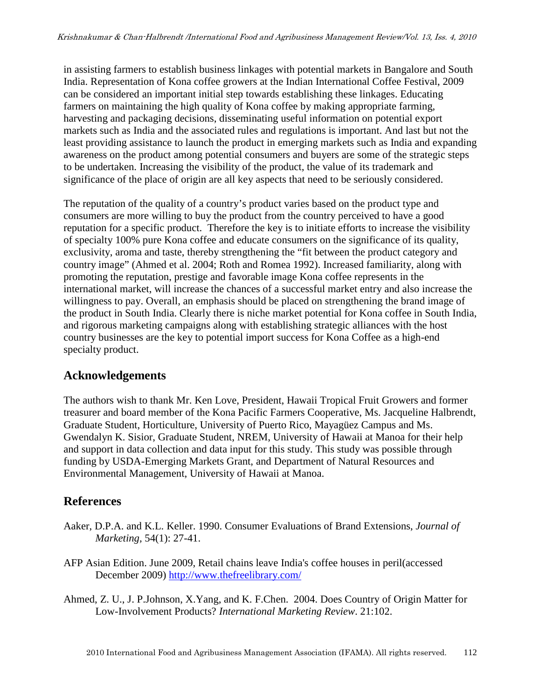in assisting farmers to establish business linkages with potential markets in Bangalore and South India. Representation of Kona coffee growers at the Indian International Coffee Festival, 2009 can be considered an important initial step towards establishing these linkages. Educating farmers on maintaining the high quality of Kona coffee by making appropriate farming, harvesting and packaging decisions, disseminating useful information on potential export markets such as India and the associated rules and regulations is important. And last but not the least providing assistance to launch the product in emerging markets such as India and expanding awareness on the product among potential consumers and buyers are some of the strategic steps to be undertaken. Increasing the visibility of the product, the value of its trademark and significance of the place of origin are all key aspects that need to be seriously considered.

The reputation of the quality of a country's product varies based on the product type and consumers are more willing to buy the product from the country perceived to have a good reputation for a specific product. Therefore the key is to initiate efforts to increase the visibility of specialty 100% pure Kona coffee and educate consumers on the significance of its quality, exclusivity, aroma and taste, thereby strengthening the "fit between the product category and country image" (Ahmed et al. 2004; Roth and Romea 1992). Increased familiarity, along with promoting the reputation, prestige and favorable image Kona coffee represents in the international market, will increase the chances of a successful market entry and also increase the willingness to pay. Overall, an emphasis should be placed on strengthening the brand image of the product in South India. Clearly there is niche market potential for Kona coffee in South India, and rigorous marketing campaigns along with establishing strategic alliances with the host country businesses are the key to potential import success for Kona Coffee as a high-end specialty product.

# **Acknowledgements**

The authors wish to thank Mr. Ken Love, President, Hawaii Tropical Fruit Growers and former treasurer and board member of the Kona Pacific Farmers Cooperative, Ms. Jacqueline Halbrendt, Graduate Student, Horticulture, University of Puerto Rico, Mayagüez Campus and Ms. Gwendalyn K. Sisior, Graduate Student, NREM, University of Hawaii at Manoa for their help and support in data collection and data input for this study. This study was possible through funding by USDA-Emerging Markets Grant, and Department of Natural Resources and Environmental Management, University of Hawaii at Manoa.

# **References**

- Aaker, D.P.A. and K.L. Keller. 1990. Consumer Evaluations of Brand Extensions, *Journal of Marketing,* 54(1): 27-41.
- AFP Asian Edition. June 2009, Retail chains leave India's coffee houses in peril(accessed December 2009) http://www.thefreelibrary.com/
- Ahmed, Z. U., J. P.Johnson, X.Yang, and K. F.Chen. 2004. Does Country of Origin Matter for Low-Involvement Products? *International Marketing Review*. 21:102.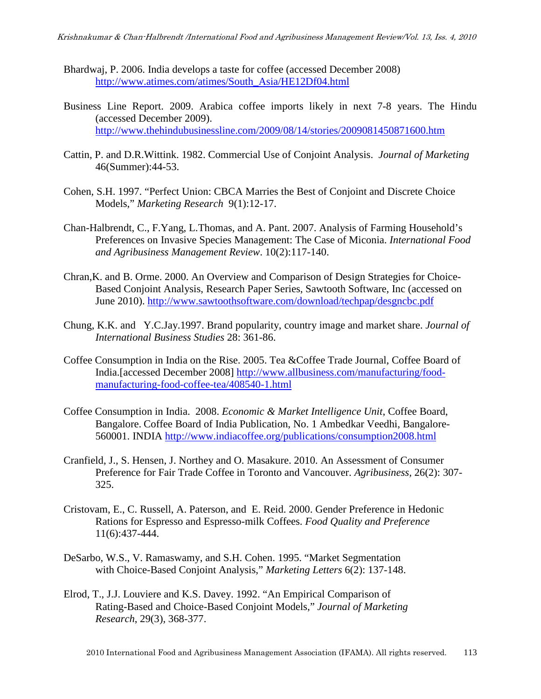- Bhardwaj, P. 2006. India develops a taste for coffee (accessed December 2008) http://www.atimes.com/atimes/South\_Asia/HE12Df04.html
- Business Line Report. 2009. Arabica coffee imports likely in next 7-8 years. The Hindu (accessed December 2009). http://www.thehindubusinessline.com/2009/08/14/stories/2009081450871600.htm
- Cattin, P. and D.R.Wittink. 1982. Commercial Use of Conjoint Analysis. *Journal of Marketing* 46(Summer):44-53.
- Cohen, S.H. 1997. "Perfect Union: CBCA Marries the Best of Conjoint and Discrete Choice Models," *Marketing Research* 9(1):12-17.
- Chan-Halbrendt, C., F.Yang, L.Thomas, and A. Pant. 2007. Analysis of Farming Household's Preferences on Invasive Species Management: The Case of Miconia. *International Food and Agribusiness Management Review*. 10(2):117-140.
- Chran,K. and B. Orme. 2000. An Overview and Comparison of Design Strategies for Choice-Based Conjoint Analysis, Research Paper Series, Sawtooth Software, Inc (accessed on June 2010). http://www.sawtoothsoftware.com/download/techpap/desgncbc.pdf
- Chung, K.K. and Y.C.Jay.1997. Brand popularity, country image and market share. *Journal of International Business Studies* 28: 361-86.
- Coffee Consumption in India on the Rise. 2005. Tea &Coffee Trade Journal, Coffee Board of India.[accessed December 2008] http://www.allbusiness.com/manufacturing/foodmanufacturing-food-coffee-tea/408540-1.html
- Coffee Consumption in India. 2008. *Economic & Market Intelligence Unit*, Coffee Board, Bangalore. Coffee Board of India Publication, No. 1 Ambedkar Veedhi, Bangalore-560001. INDIA http://www.indiacoffee.org/publications/consumption2008.html
- Cranfield, J., S. Hensen, J. Northey and O. Masakure. 2010. An Assessment of Consumer Preference for Fair Trade Coffee in Toronto and Vancouver. *Agribusiness,* 26(2): 307- 325.
- Cristovam, E., C. Russell, A. Paterson, and E. Reid. 2000. Gender Preference in Hedonic Rations for Espresso and Espresso-milk Coffees. *Food Quality and Preference* 11(6):437-444.
- DeSarbo, W.S., V. Ramaswamy, and S.H. Cohen. 1995. "Market Segmentation with Choice-Based Conjoint Analysis," *Marketing Letters* 6(2): 137-148.
- Elrod, T., J.J. Louviere and K.S. Davey. 1992. "An Empirical Comparison of Rating-Based and Choice-Based Conjoint Models," *Journal of Marketing Research*, 29(3), 368-377.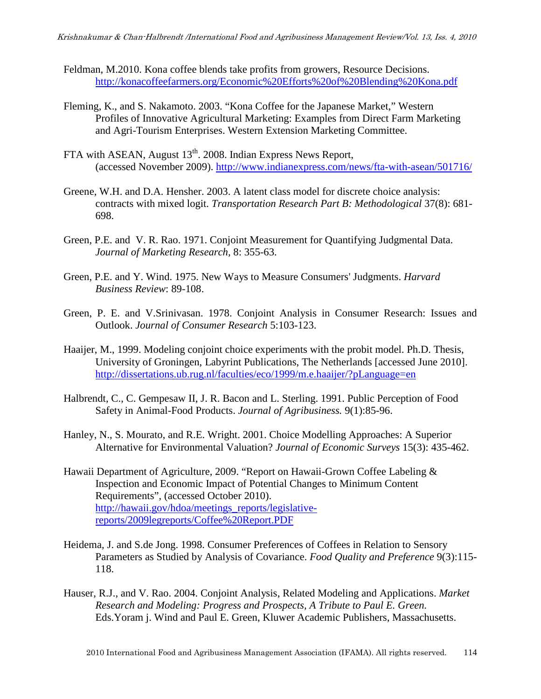- Feldman, M.2010. Kona coffee blends take profits from growers, Resource Decisions. http://konacoffeefarmers.org/Economic%20Efforts%20of%20Blending%20Kona.pdf
- Fleming, K., and S. Nakamoto. 2003. "Kona Coffee for the Japanese Market," Western Profiles of Innovative Agricultural Marketing: Examples from Direct Farm Marketing and Agri-Tourism Enterprises. Western Extension Marketing Committee.
- FTA with ASEAN, August 13<sup>th</sup>. 2008. Indian Express News Report, (accessed November 2009). http://www.indianexpress.com/news/fta-with-asean/501716/
- Greene, W.H. and D.A. Hensher. 2003. A latent class model for discrete choice analysis: contracts with mixed logit. *Transportation Research Part B: Methodological* 37(8): 681- 698.
- Green, P.E. and V. R. Rao. 1971. Conjoint Measurement for Quantifying Judgmental Data. *Journal of Marketing Research,* 8: 355-63.
- Green, P.E. and Y. Wind. 1975. New Ways to Measure Consumers' Judgments. *Harvard Business Review*: 89-108.
- Green, P. E. and V.Srinivasan. 1978. Conjoint Analysis in Consumer Research: Issues and Outlook. *Journal of Consumer Research* 5:103-123.
- Haaijer, M., 1999. Modeling conjoint choice experiments with the probit model. Ph.D. Thesis, University of Groningen, Labyrint Publications, The Netherlands [accessed June 2010]. http://dissertations.ub.rug.nl/faculties/eco/1999/m.e.haaijer/?pLanguage=en
- Halbrendt, C., C. Gempesaw II, J. R. Bacon and L. Sterling. 1991. Public Perception of Food Safety in Animal-Food Products. *Journal of Agribusiness.* 9(1):85-96.
- Hanley, N., S. Mourato, and R.E. Wright. 2001. Choice Modelling Approaches: A Superior Alternative for Environmental Valuation? *Journal of Economic Surveys* 15(3): 435-462.
- Hawaii Department of Agriculture, 2009. "Report on Hawaii-Grown Coffee Labeling & Inspection and Economic Impact of Potential Changes to Minimum Content Requirements", (accessed October 2010). http://hawaii.gov/hdoa/meetings\_reports/legislativereports/2009legreports/Coffee%20Report.PDF
- Heidema, J. and S.de Jong. 1998. Consumer Preferences of Coffees in Relation to Sensory Parameters as Studied by Analysis of Covariance. *Food Quality and Preference* 9(3):115- 118.
- Hauser, R.J., and V. Rao. 2004. Conjoint Analysis, Related Modeling and Applications. *Market Research and Modeling: Progress and Prospects, A Tribute to Paul E. Green.* Eds.Yoram j. Wind and Paul E. Green, Kluwer Academic Publishers, Massachusetts.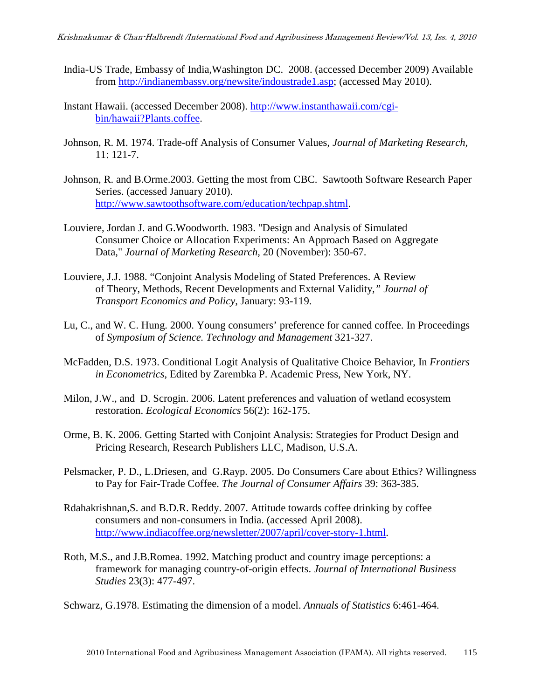- India-US Trade, Embassy of India,Washington DC. 2008. (accessed December 2009) Available from http://indianembassy.org/newsite/indoustrade1.asp; (accessed May 2010).
- Instant Hawaii. (accessed December 2008). http://www.instanthawaii.com/cgibin/hawaii?Plants.coffee.
- Johnson, R. M. 1974. Trade-off Analysis of Consumer Values, *Journal of Marketing Research,* 11: 121-7.
- Johnson, R. and B.Orme.2003. Getting the most from CBC. Sawtooth Software Research Paper Series. (accessed January 2010). http://www.sawtoothsoftware.com/education/techpap.shtml.
- Louviere, Jordan J. and G.Woodworth. 1983. "Design and Analysis of Simulated Consumer Choice or Allocation Experiments: An Approach Based on Aggregate Data," *Journal of Marketing Research,* 20 (November): 350-67.
- Louviere, J.J. 1988. "Conjoint Analysis Modeling of Stated Preferences. A Review of Theory, Methods, Recent Developments and External Validity*," Journal of Transport Economics and Policy*, January: 93-119.
- Lu, C., and W. C. Hung. 2000. Young consumers' preference for canned coffee. In Proceedings of *Symposium of Science. Technology and Management* 321-327.
- McFadden, D.S. 1973. Conditional Logit Analysis of Qualitative Choice Behavior, In *Frontiers in Econometrics*, Edited by Zarembka P. Academic Press, New York, NY.
- Milon, J.W., and D. Scrogin. 2006. Latent preferences and valuation of wetland ecosystem restoration. *Ecological Economics* 56(2): 162-175.
- Orme, B. K. 2006. Getting Started with Conjoint Analysis: Strategies for Product Design and Pricing Research, Research Publishers LLC, Madison, U.S.A.
- Pelsmacker, P. D., L.Driesen, and G.Rayp. 2005. Do Consumers Care about Ethics? Willingness to Pay for Fair-Trade Coffee. *The Journal of Consumer Affairs* 39: 363-385.
- Rdahakrishnan,S. and B.D.R. Reddy. 2007. Attitude towards coffee drinking by coffee consumers and non-consumers in India. (accessed April 2008). http://www.indiacoffee.org/newsletter/2007/april/cover-story-1.html.
- Roth, M.S., and J.B.Romea. 1992. Matching product and country image perceptions: a framework for managing country-of-origin effects. *Journal of International Business Studies* 23(3): 477-497.
- Schwarz, G.1978. Estimating the dimension of a model. *Annuals of Statistics* 6:461-464.